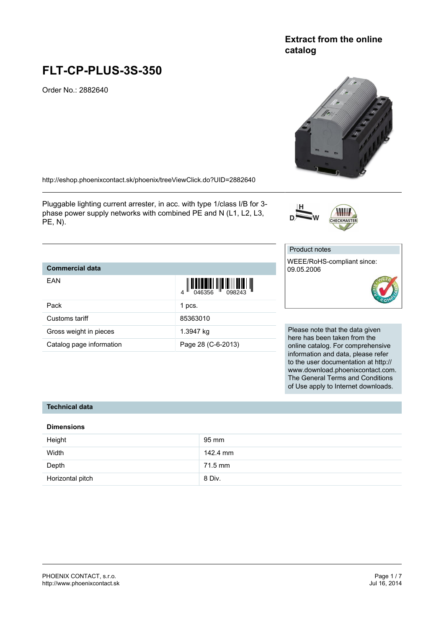# **FLT-CP-PLUS-3S-350**

Order No.: 2882640

<http://eshop.phoenixcontact.sk/phoenix/treeViewClick.do?UID=2882640>

Pluggable lighting current arrester, in acc. with type 1/class I/B for 3 phase power supply networks with combined PE and N (L1, L2, L3, PE, N).

# **Commercial data**

| EAN                      | $\left\  \prod_{0.46356} \left\  \prod_{0.98243} \left\  \prod_{0.98243} \right\  \right\  \right\ $ |
|--------------------------|------------------------------------------------------------------------------------------------------|
| Pack                     | 1 pcs.                                                                                               |
| Customs tariff           | 85363010                                                                                             |
| Gross weight in pieces   | 1.3947 kg                                                                                            |
| Catalog page information | Page 28 (C-6-2013)                                                                                   |

Please note that the data given here has been taken from the online catalog. For comprehensive information and data, please refer to the user documentation at http:// www.download.phoenixcontact.com. The General Terms and Conditions of Use apply to Internet downloads.

#### **Technical data**

#### **Dimensions**

| Height           | 95 mm    |
|------------------|----------|
| Width            | 142.4 mm |
| Depth            | 71.5 mm  |
| Horizontal pitch | 8 Div.   |

# **Extract from the online catalog**





# Product notes

WEEE/RoHS-compliant since: 09.05.2006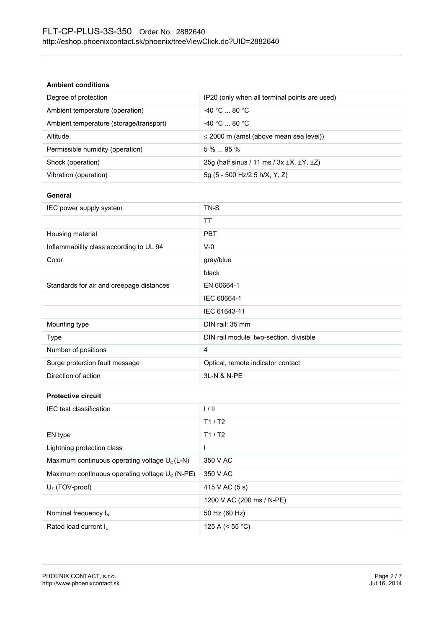#### **Ambient conditions**

| Degree of protection                    | IP20 (only when all terminal points are used)              |
|-----------------------------------------|------------------------------------------------------------|
| Ambient temperature (operation)         | $-40 °C  80 °C$                                            |
| Ambient temperature (storage/transport) | $-40 °C  80 °C$                                            |
| Altitude                                | $\leq$ 2000 m (amsl (above mean sea level))                |
| Permissible humidity (operation)        | $5\%$ 95 %                                                 |
| Shock (operation)                       | 25q (half sinus / 11 ms / $3x \pm X$ , $\pm Y$ , $\pm Z$ ) |
| Vibration (operation)                   | 5g (5 - 500 Hz/2.5 h/X, Y, Z)                              |

#### **General**

| IEC power supply system                  | TN-S                                    |
|------------------------------------------|-----------------------------------------|
|                                          | TT                                      |
| Housing material                         | <b>PBT</b>                              |
| Inflammability class according to UL 94  | $V-0$                                   |
| Color                                    | gray/blue                               |
|                                          | black                                   |
| Standards for air and creepage distances | EN 60664-1                              |
|                                          | IEC 60664-1                             |
|                                          | IEC 61643-11                            |
| Mounting type                            | DIN rail: 35 mm                         |
| Type                                     | DIN rail module, two-section, divisible |
| Number of positions                      | 4                                       |
| Surge protection fault message           | Optical, remote indicator contact       |
| Direction of action                      | 3L-N & N-PE                             |

# **Protective circuit**

| IEC test classification                           | 1/11                      |
|---------------------------------------------------|---------------------------|
|                                                   | T1/ T2                    |
| EN type                                           | T1/ T2                    |
| Lightning protection class                        |                           |
| Maximum continuous operating voltage $U_c(L-N)$   | 350 V AC                  |
| Maximum continuous operating voltage $U_c$ (N-PE) | 350 V AC                  |
| $U_T$ (TOV-proof)                                 | 415 V AC (5 s)            |
|                                                   | 1200 V AC (200 ms / N-PE) |
| Nominal frequency $f_N$                           | 50 Hz (60 Hz)             |
| Rated load current I <sub>L</sub>                 | 125 A ( $<$ 55 °C)        |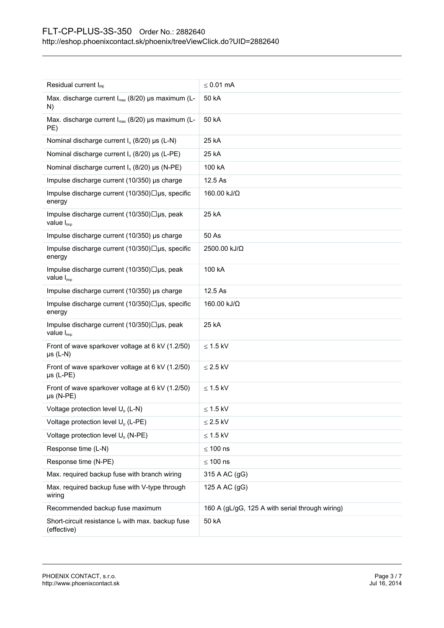| Residual current I <sub>PE</sub>                                             | $\leq 0.01$ mA                                  |
|------------------------------------------------------------------------------|-------------------------------------------------|
| Max. discharge current I <sub>max</sub> (8/20) µs maximum (L-                | 50 kA                                           |
| N)                                                                           |                                                 |
| Max. discharge current I <sub>max</sub> (8/20) µs maximum (L-<br>PE)         | 50 kA                                           |
| Nominal discharge current $I_n$ (8/20) µs (L-N)                              | 25 kA                                           |
| Nominal discharge current $I_n$ (8/20) µs (L-PE)                             | 25 kA                                           |
| Nominal discharge current $I_n$ (8/20) µs (N-PE)                             | 100 kA                                          |
| Impulse discharge current (10/350) µs charge                                 | 12.5 As                                         |
| Impulse discharge current $(10/350)\Box$ us, specific<br>energy              | 160.00 kJ/Ω                                     |
| Impulse discharge current (10/350)□µs, peak<br>value I <sub>imp</sub>        | 25 kA                                           |
| Impulse discharge current (10/350) µs charge                                 | 50 As                                           |
| Impulse discharge current (10/350)□µs, specific<br>energy                    | 2500.00 kJ/Ω                                    |
| Impulse discharge current (10/350)□µs, peak<br>value $I_{\text{imp}}$        | 100 kA                                          |
| Impulse discharge current (10/350) µs charge                                 | 12.5 As                                         |
| Impulse discharge current (10/350)□µs, specific<br>energy                    | 160.00 kJ/Ω                                     |
| Impulse discharge current (10/350)□µs, peak<br>value $I_{imp}$               | 25 kA                                           |
| Front of wave sparkover voltage at 6 kV (1.2/50)<br>$\mu s$ (L-N)            | $\leq$ 1.5 kV                                   |
| Front of wave sparkover voltage at 6 kV (1.2/50)<br>$\mu s$ (L-PE)           | $\leq$ 2.5 kV                                   |
| Front of wave sparkover voltage at 6 kV (1.2/50)<br>$\mu s$ (N-PE)           | $\leq$ 1.5 kV                                   |
| Voltage protection level $U_{o}$ (L-N)                                       | ≤ 1.5 kV                                        |
| Voltage protection level U <sub>p</sub> (L-PE)                               | $\leq$ 2.5 kV                                   |
| Voltage protection level U <sub>p</sub> (N-PE)                               | $\leq$ 1.5 kV                                   |
| Response time (L-N)                                                          | $\leq 100$ ns                                   |
| Response time (N-PE)                                                         | $\leq 100$ ns                                   |
| Max. required backup fuse with branch wiring                                 | 315 A AC (gG)                                   |
| Max. required backup fuse with V-type through<br>wiring                      | 125 A AC (gG)                                   |
| Recommended backup fuse maximum                                              | 160 A (gL/gG, 125 A with serial through wiring) |
| Short-circuit resistance I <sub>P</sub> with max. backup fuse<br>(effective) | 50 kA                                           |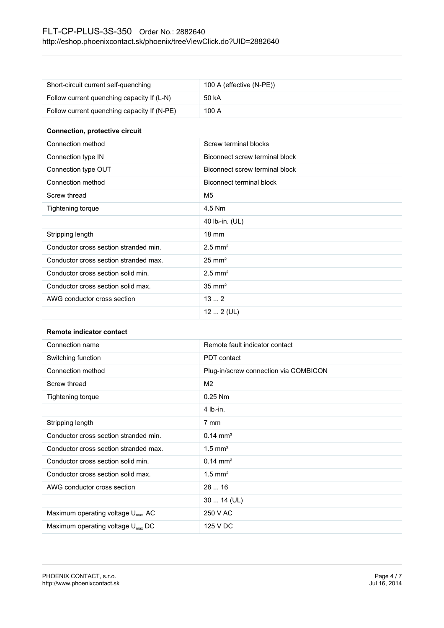| Short-circuit current self-quenching        | 100 A (effective (N-PE)) |
|---------------------------------------------|--------------------------|
| Follow current quenching capacity If (L-N)  | 50 kA                    |
| Follow current quenching capacity If (N-PE) | 100 A                    |

#### **Connection, protective circuit**

| Connection method                     | Screw terminal blocks          |
|---------------------------------------|--------------------------------|
| Connection type IN                    | Biconnect screw terminal block |
| Connection type OUT                   | Biconnect screw terminal block |
| Connection method                     | Biconnect terminal block       |
| Screw thread                          | M5                             |
| Tightening torque                     | 4.5 Nm                         |
|                                       | 40 $Ib_f$ -in. (UL)            |
| Stripping length                      | $18 \text{ mm}$                |
| Conductor cross section stranded min. | $2.5$ mm <sup>2</sup>          |
| Conductor cross section stranded max. | $25 \text{ mm}^2$              |
| Conductor cross section solid min.    | $2.5$ mm <sup>2</sup>          |
| Conductor cross section solid max.    | $35 \text{ mm}^2$              |
| AWG conductor cross section           | 132                            |
|                                       | $122$ (UL)                     |

#### **Remote indicator contact**

| Connection name                               | Remote fault indicator contact        |
|-----------------------------------------------|---------------------------------------|
| Switching function                            | PDT contact                           |
| Connection method                             | Plug-in/screw connection via COMBICON |
| Screw thread                                  | M <sub>2</sub>                        |
| Tightening torque                             | $0.25$ Nm                             |
|                                               | 4 $Ib_f$ -in.                         |
| Stripping length                              | 7 mm                                  |
| Conductor cross section stranded min.         | $0.14 \text{ mm}^2$                   |
| Conductor cross section stranded max.         | $1.5$ mm <sup>2</sup>                 |
| Conductor cross section solid min.            | $0.14 \text{ mm}^2$                   |
| Conductor cross section solid max.            | $1.5$ mm <sup>2</sup>                 |
| AWG conductor cross section                   | 2816                                  |
|                                               | $3014$ (UL)                           |
| Maximum operating voltage U <sub>max</sub> AC | 250 V AC                              |
| Maximum operating voltage $U_{\text{max}}$ DC | 125 V DC                              |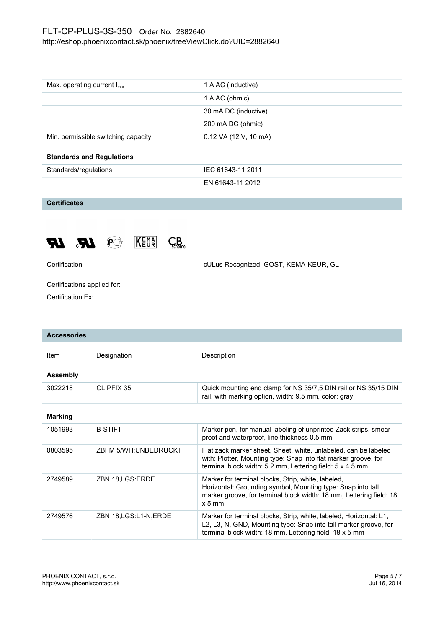| Max. operating current $I_{\text{max}}$ | 1 A AC (inductive)    |
|-----------------------------------------|-----------------------|
|                                         | 1 A AC (ohmic)        |
|                                         | 30 mA DC (inductive)  |
|                                         | 200 mA DC (ohmic)     |
| Min. permissible switching capacity     | 0.12 VA (12 V, 10 mA) |
| <b>Standards and Regulations</b>        |                       |

| Standards/regulations | IEC 61643-11 2011 |
|-----------------------|-------------------|
|                       | EN 61643-11 2012  |

**Certificates**





Certification cULus Recognized, GOST, KEMA-KEUR, GL

Certifications applied for:

Certification Ex:

| <b>Accessories</b> |                         |                                                                                                                                                                                                      |
|--------------------|-------------------------|------------------------------------------------------------------------------------------------------------------------------------------------------------------------------------------------------|
| Item               | Designation             | Description                                                                                                                                                                                          |
| <b>Assembly</b>    |                         |                                                                                                                                                                                                      |
| 3022218            | CLIPFIX 35              | Quick mounting end clamp for NS 35/7,5 DIN rail or NS 35/15 DIN<br>rail, with marking option, width: 9.5 mm, color: gray                                                                             |
| <b>Marking</b>     |                         |                                                                                                                                                                                                      |
| 1051993            | <b>B-STIFT</b>          | Marker pen, for manual labeling of unprinted Zack strips, smear-<br>proof and waterproof, line thickness 0.5 mm                                                                                      |
| 0803595            | ZBFM 5/WH:UNBEDRUCKT    | Flat zack marker sheet, Sheet, white, unlabeled, can be labeled<br>with: Plotter, Mounting type: Snap into flat marker groove, for<br>terminal block width: 5.2 mm, Lettering field: 5 x 4.5 mm      |
| 2749589            | ZBN 18,LGS:ERDE         | Marker for terminal blocks, Strip, white, labeled,<br>Horizontal: Grounding symbol, Mounting type: Snap into tall<br>marker groove, for terminal block width: 18 mm, Lettering field: 18<br>$x 5$ mm |
| 2749576            | ZBN 18, LGS: L1-N, ERDE | Marker for terminal blocks, Strip, white, labeled, Horizontal: L1,<br>L2, L3, N, GND, Mounting type: Snap into tall marker groove, for<br>terminal block width: 18 mm, Lettering field: 18 x 5 mm    |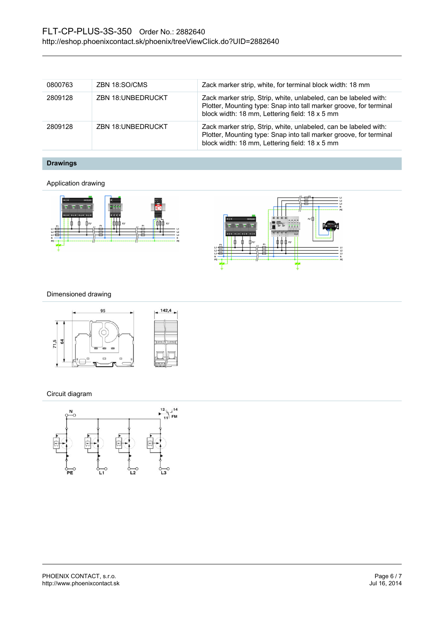| 0800763 | ZBN 18:SO/CMS            | Zack marker strip, white, for terminal block width: 18 mm                                                                                                                                |
|---------|--------------------------|------------------------------------------------------------------------------------------------------------------------------------------------------------------------------------------|
| 2809128 | <b>ZBN 18:UNBEDRUCKT</b> | Zack marker strip, Strip, white, unlabeled, can be labeled with:<br>Plotter, Mounting type: Snap into tall marker groove, for terminal<br>block width: 18 mm, Lettering field: 18 x 5 mm |
| 2809128 | <b>ZBN 18:UNBEDRUCKT</b> | Zack marker strip, Strip, white, unlabeled, can be labeled with:<br>Plotter, Mounting type: Snap into tall marker groove, for terminal<br>block width: 18 mm, Lettering field: 18 x 5 mm |

**Drawings**

Application drawing



#### Dimensioned drawing



#### Circuit diagram